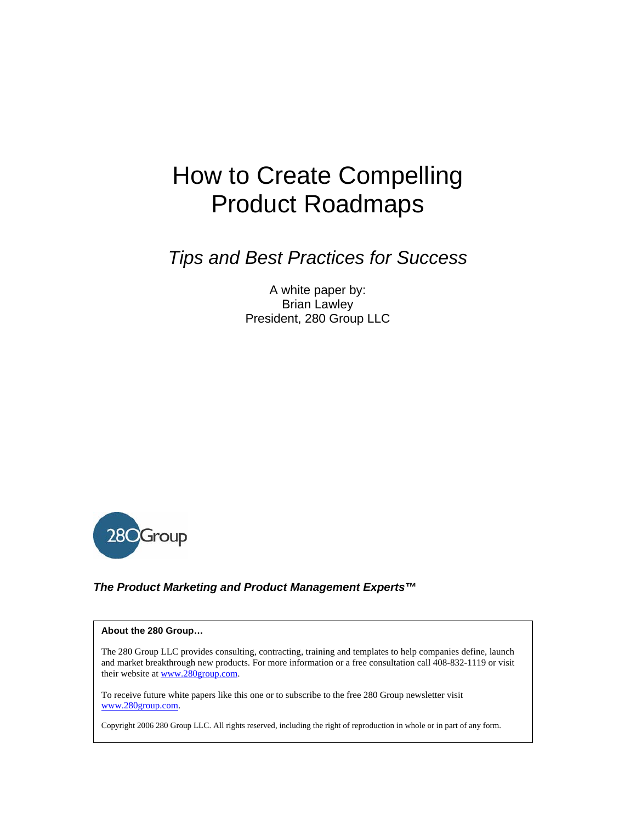# How to Create Compelling Product Roadmaps

*Tips and Best Practices for Success* 

A white paper by: Brian Lawley President, 280 Group LLC



#### *The Product Marketing and Product Management Experts™*

#### **About the 280 Group…**

The 280 Group LLC provides consulting, contracting, training and templates to help companies define, launch and market breakthrough new products. For more information or a free consultation call 408-832-1119 or visit their website at www.280group.com.

To receive future white papers like this one or to subscribe to the free 280 Group newsletter visit www.280group.com.

Copyright 2006 280 Group LLC. All rights reserved, including the right of reproduction in whole or in part of any form.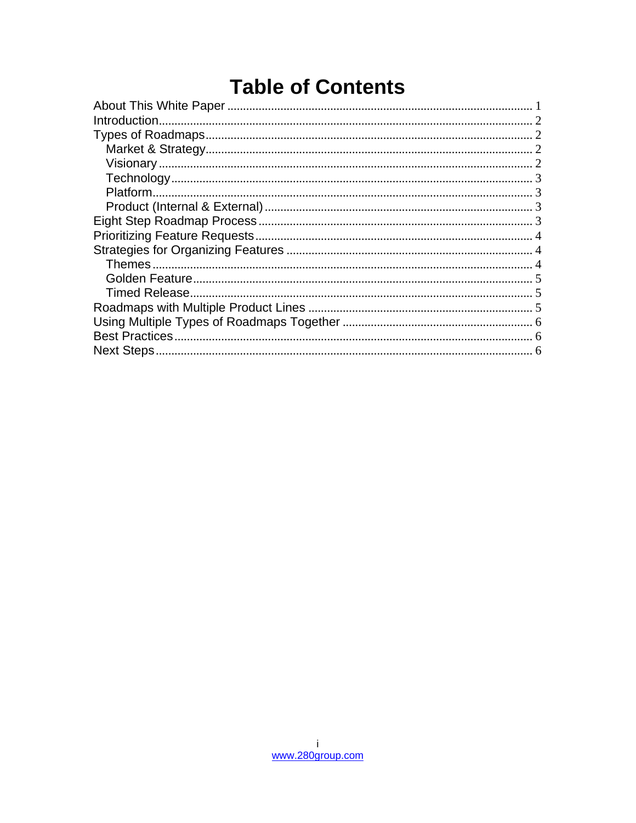## **Table of Contents**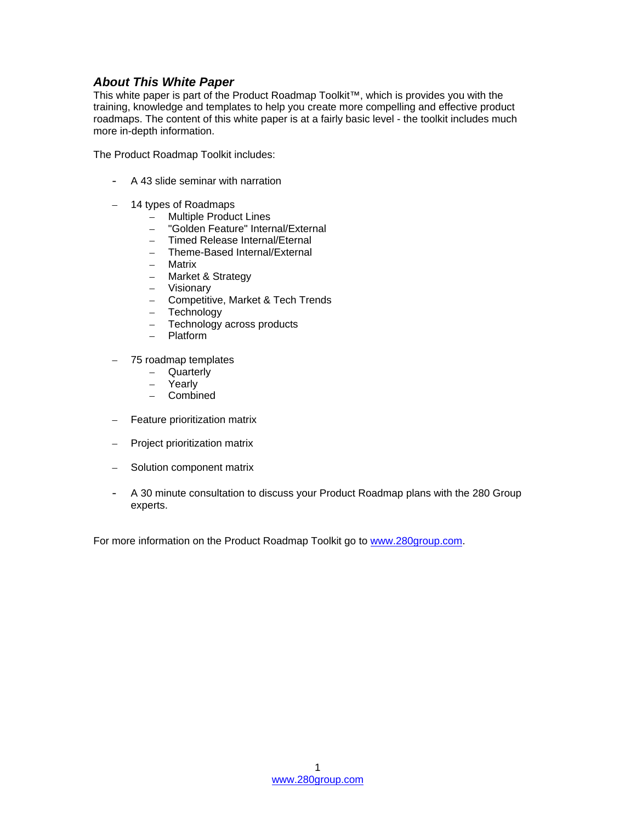#### *About This White Paper*

This white paper is part of the Product Roadmap Toolkit™, which is provides you with the training, knowledge and templates to help you create more compelling and effective product roadmaps. The content of this white paper is at a fairly basic level - the toolkit includes much more in-depth information.

The Product Roadmap Toolkit includes:

- A 43 slide seminar with narration
- 14 types of Roadmaps
	- Multiple Product Lines
	- "Golden Feature" Internal/External
	- Timed Release Internal/Eternal
	- Theme-Based Internal/External
	- Matrix
	- Market & Strategy
	- Visionary
	- Competitive, Market & Tech Trends
	- **Technology**
	- Technology across products
	- Platform
- 75 roadmap templates
	- Quarterly
		- Yearly
	- Combined
- Feature prioritization matrix
- Project prioritization matrix
- Solution component matrix
- A 30 minute consultation to discuss your Product Roadmap plans with the 280 Group experts.

For more information on the Product Roadmap Toolkit go to www.280group.com.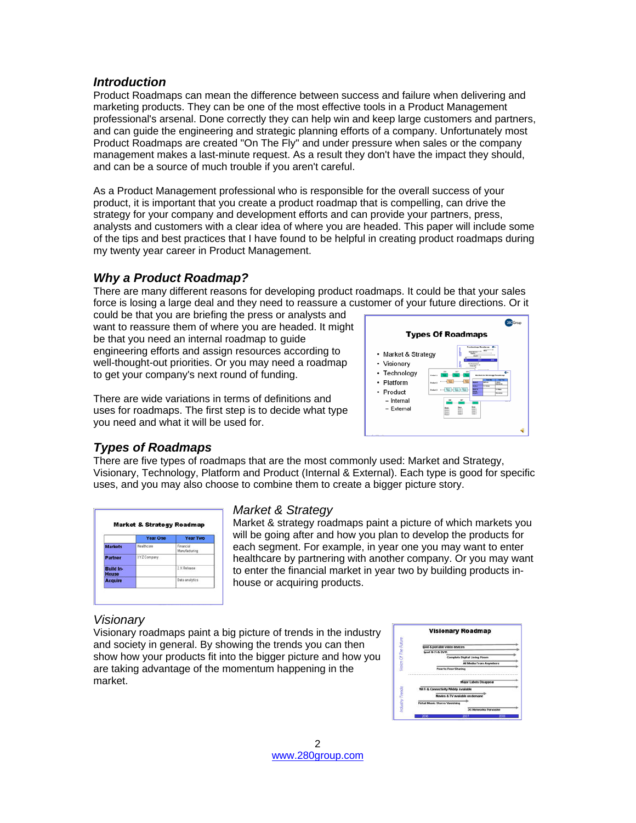#### *Introduction*

Product Roadmaps can mean the difference between success and failure when delivering and marketing products. They can be one of the most effective tools in a Product Management professional's arsenal. Done correctly they can help win and keep large customers and partners, and can guide the engineering and strategic planning efforts of a company. Unfortunately most Product Roadmaps are created "On The Fly" and under pressure when sales or the company management makes a last-minute request. As a result they don't have the impact they should, and can be a source of much trouble if you aren't careful.

As a Product Management professional who is responsible for the overall success of your product, it is important that you create a product roadmap that is compelling, can drive the strategy for your company and development efforts and can provide your partners, press, analysts and customers with a clear idea of where you are headed. This paper will include some of the tips and best practices that I have found to be helpful in creating product roadmaps during my twenty year career in Product Management.

## *Why a Product Roadmap?*

There are many different reasons for developing product roadmaps. It could be that your sales force is losing a large deal and they need to reassure a customer of your future directions. Or it

could be that you are briefing the press or analysts and want to reassure them of where you are headed. It might be that you need an internal roadmap to guide engineering efforts and assign resources according to well-thought-out priorities. Or you may need a roadmap to get your company's next round of funding.

There are wide variations in terms of definitions and uses for roadmaps. The first step is to decide what type you need and what it will be used for.



## *Types of Roadmaps*

There are five types of roadmaps that are the most commonly used: Market and Strategy, Visionary, Technology, Platform and Product (Internal & External). Each type is good for specific uses, and you may also choose to combine them to create a bigger picture story.

| <b>Market &amp; Strategy Roadmap</b> |                 |                            |  |  |
|--------------------------------------|-----------------|----------------------------|--|--|
|                                      | <b>Year One</b> | Year Two                   |  |  |
| <b>Markets</b>                       | Healthcare      | Financial<br>Manufacturing |  |  |
| Partner                              | XYZ Company     |                            |  |  |
| <b>Build In-</b><br><b>House</b>     |                 | 2 X Release                |  |  |
| <b>Acquire</b>                       |                 | Data analytics             |  |  |

## *Market & Strategy*

Market & strategy roadmaps paint a picture of which markets you will be going after and how you plan to develop the products for each segment. For example, in year one you may want to enter healthcare by partnering with another company. Or you may want to enter the financial market in year two by building products inhouse or acquiring products.

## *Visionary*

Visionary roadmaps paint a big picture of trends in the industry and society in general. By showing the trends you can then show how your products fit into the bigger picture and how you are taking advantage of the momentum happening in the market.

| <b>Visionary Roadmap</b>              |                                |
|---------------------------------------|--------------------------------|
|                                       |                                |
| tood & portable video devices         |                                |
| <b>bod it is DVR</b>                  |                                |
| Correlete Digital Living Room         |                                |
|                                       | <b>All Media From Anywhere</b> |
|                                       |                                |
| <b>Peer to Peer Sharing</b>           |                                |
|                                       |                                |
| <b>Major Labels Disappear</b>         |                                |
| Wi Ft & Connectivity Widely Available |                                |
| Movies & TV available on demand       |                                |
| <b>Retail Music Stores Vanishing</b>  |                                |
|                                       | 36 Networks Personsker         |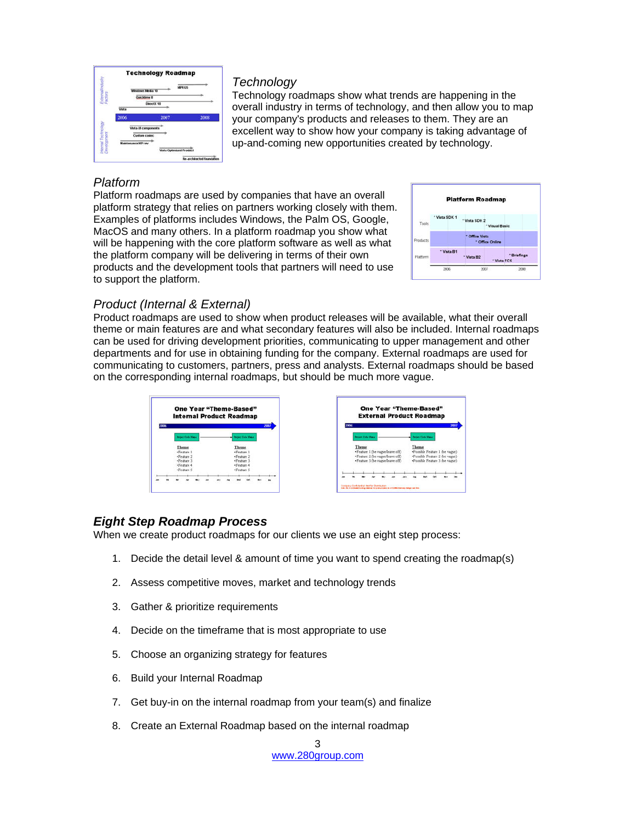

#### *Technology*

Technology roadmaps show what trends are happening in the overall industry in terms of technology, and then allow you to map your company's products and releases to them. They are an excellent way to show how your company is taking advantage of up-and-coming new opportunities created by technology.

## *Platform*

Platform roadmaps are used by companies that have an overall platform strategy that relies on partners working closely with them. Examples of platforms includes Windows, the Palm OS, Google, MacOS and many others. In a platform roadmap you show what will be happening with the core platform software as well as what the platform company will be delivering in terms of their own products and the development tools that partners will need to use to support the platform.



## *Product (Internal & External)*

Product roadmaps are used to show when product releases will be available, what their overall theme or main features are and what secondary features will also be included. Internal roadmaps can be used for driving development priorities, communicating to upper management and other departments and for use in obtaining funding for the company. External roadmaps are used for communicating to customers, partners, press and analysts. External roadmaps should be based on the corresponding internal roadmaps, but should be much more vague.





## *Eight Step Roadmap Process*

When we create product roadmaps for our clients we use an eight step process:

- 1. Decide the detail level & amount of time you want to spend creating the roadmap(s)
- 2. Assess competitive moves, market and technology trends
- 3. Gather & prioritize requirements
- 4. Decide on the timeframe that is most appropriate to use
- 5. Choose an organizing strategy for features
- 6. Build your Internal Roadmap
- 7. Get buy-in on the internal roadmap from your team(s) and finalize
- 8. Create an External Roadmap based on the internal roadmap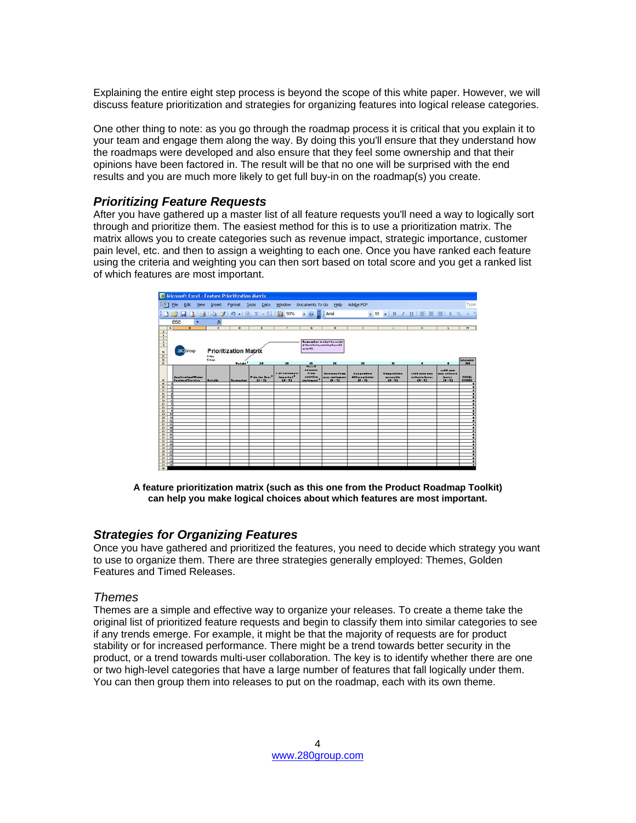Explaining the entire eight step process is beyond the scope of this white paper. However, we will discuss feature prioritization and strategies for organizing features into logical release categories.

One other thing to note: as you go through the roadmap process it is critical that you explain it to your team and engage them along the way. By doing this you'll ensure that they understand how the roadmaps were developed and also ensure that they feel some ownership and that their opinions have been factored in. The result will be that no one will be surprised with the end results and you are much more likely to get full buy-in on the roadmap(s) you create.

#### *Prioritizing Feature Requests*

After you have gathered up a master list of all feature requests you'll need a way to logically sort through and prioritize them. The easiest method for this is to use a prioritization matrix. The matrix allows you to create categories such as revenue impact, strategic importance, customer pain level, etc. and then to assign a weighting to each one. Once you have ranked each feature using the criteria and weighting you can then sort based on total score and you get a ranked list of which features are most important.

|                                 |                                                                                                         |                                       |                     | Microsoft Excel - Feature Prioritization Matrix |                                                |                                                            |                                                                    |                                                   |                                             |                                              |                                                 |                           |
|---------------------------------|---------------------------------------------------------------------------------------------------------|---------------------------------------|---------------------|-------------------------------------------------|------------------------------------------------|------------------------------------------------------------|--------------------------------------------------------------------|---------------------------------------------------|---------------------------------------------|----------------------------------------------|-------------------------------------------------|---------------------------|
|                                 | $E = 1$<br>Edit<br>yjew                                                                                 |                                       |                     | Insert Format Tools Data                        |                                                |                                                            | Window Documents To Go Help Adobe PDF                              |                                                   |                                             |                                              |                                                 | Type                      |
|                                 | □ 13 日 日 日 13 プ 17 - 12 エ - 11   23 50% - 10   2   24 id   10   10   13   2   11   三 菱   11   5   ※ ・ 1 |                                       |                     |                                                 |                                                |                                                            |                                                                    |                                                   |                                             |                                              |                                                 |                           |
|                                 | <b>B58</b><br>٠                                                                                         | $f_{\mathbf{x}}$                      |                     |                                                 |                                                |                                                            |                                                                    |                                                   |                                             |                                              |                                                 |                           |
| $\overline{a}$                  | ٠                                                                                                       | $\sigma$                              | $\circ$             | $\mathbf{r}$                                    | ,                                              | s                                                          | $\mathbf{H}$                                                       | ٠                                                 | $\lambda$                                   | ĸ                                            | $\mathbf{r}$                                    | Ħ                         |
| $- - - - 2 = 0$                 | 28C Group                                                                                               | <b>Prioritization Matrix</b><br>#-lau |                     |                                                 |                                                | vo ta 100.                                                 | Remember to education suicht<br>of the criteria, ensuring they add |                                                   |                                             |                                              |                                                 |                           |
|                                 |                                                                                                         | S-high                                | Weight <sup>*</sup> | 20                                              | 20                                             | 15                                                         | $\mathbf{r}$                                                       | 15                                                | $\mathbf{r}$                                | ٠                                            |                                                 | <b>Tatalagiate</b><br>100 |
|                                 |                                                                                                         |                                       |                     |                                                 |                                                | <b>Uprall</b>                                              |                                                                    |                                                   |                                             |                                              |                                                 |                           |
|                                 | <b>Application/Major</b><br>FesturelService                                                             | Detaile                               | <b>Bequester</b>    | Pain for Urar <sup>2</sup><br>$(0 - 5)$         | <b>Zal curtanary</b><br>imported"<br>$(0 - 5)$ | <br>I <sub>run</sub><br>anisting<br>curtamers <sup>4</sup> | Revenue from<br>new curtamers<br>$(4 - 5)$                         | <b>Kay product</b><br>differentiates<br>$(9 - 5)$ | Competitive<br><b>BASAVILY</b><br>$(9 - 5)$ | cadd your nun<br>critario haras<br>$(4 - 5)$ | call your<br>aun critaria<br>haras<br>$(0 - 5)$ | TOTAL<br><b>SCORE</b>     |
|                                 |                                                                                                         |                                       |                     |                                                 |                                                |                                                            |                                                                    |                                                   |                                             |                                              |                                                 |                           |
|                                 |                                                                                                         |                                       |                     |                                                 |                                                |                                                            |                                                                    |                                                   |                                             |                                              |                                                 |                           |
|                                 |                                                                                                         |                                       |                     |                                                 |                                                |                                                            |                                                                    |                                                   |                                             |                                              |                                                 |                           |
| $m = 5$<br>29.7.6               |                                                                                                         |                                       |                     |                                                 |                                                |                                                            |                                                                    |                                                   |                                             |                                              |                                                 |                           |
| $21 - 2$                        |                                                                                                         |                                       |                     |                                                 |                                                |                                                            |                                                                    |                                                   |                                             |                                              |                                                 |                           |
| $22 - 4$                        |                                                                                                         |                                       |                     |                                                 |                                                |                                                            |                                                                    |                                                   |                                             |                                              |                                                 |                           |
| $23 - 4$                        |                                                                                                         |                                       |                     |                                                 |                                                |                                                            |                                                                    |                                                   |                                             |                                              |                                                 |                           |
| 24.1%<br>$25 - 15$              |                                                                                                         |                                       |                     |                                                 |                                                |                                                            |                                                                    |                                                   |                                             |                                              |                                                 |                           |
| $26 - 12$                       |                                                                                                         |                                       |                     |                                                 |                                                |                                                            |                                                                    |                                                   |                                             |                                              |                                                 |                           |
| $27 - 12$                       |                                                                                                         |                                       |                     |                                                 |                                                |                                                            |                                                                    |                                                   |                                             |                                              |                                                 |                           |
| $28$ 14<br>29.115               |                                                                                                         |                                       |                     |                                                 |                                                |                                                            |                                                                    |                                                   |                                             |                                              |                                                 |                           |
| $20 - 16$                       |                                                                                                         |                                       |                     |                                                 |                                                |                                                            |                                                                    |                                                   |                                             |                                              |                                                 |                           |
| $\frac{21}{22}$ $\frac{17}{16}$ |                                                                                                         |                                       |                     |                                                 |                                                |                                                            |                                                                    |                                                   |                                             |                                              |                                                 |                           |
|                                 |                                                                                                         |                                       |                     |                                                 |                                                |                                                            |                                                                    |                                                   |                                             |                                              |                                                 |                           |
| $22 - 19$<br>$24 - 26$          |                                                                                                         |                                       |                     |                                                 |                                                |                                                            |                                                                    |                                                   |                                             |                                              |                                                 |                           |
| $25 - 25$                       |                                                                                                         |                                       |                     |                                                 |                                                |                                                            |                                                                    |                                                   |                                             |                                              |                                                 |                           |
| $36 - 22$                       |                                                                                                         |                                       |                     |                                                 |                                                |                                                            |                                                                    |                                                   |                                             |                                              |                                                 |                           |
| 22   22                         |                                                                                                         |                                       |                     |                                                 |                                                |                                                            |                                                                    |                                                   |                                             |                                              |                                                 |                           |
| $28 - 24$<br>29.78              |                                                                                                         |                                       |                     |                                                 |                                                |                                                            |                                                                    |                                                   |                                             |                                              |                                                 |                           |
|                                 |                                                                                                         |                                       |                     |                                                 |                                                |                                                            |                                                                    |                                                   |                                             |                                              |                                                 |                           |

**A feature prioritization matrix (such as this one from the Product Roadmap Toolkit) can help you make logical choices about which features are most important.**

#### *Strategies for Organizing Features*

Once you have gathered and prioritized the features, you need to decide which strategy you want to use to organize them. There are three strategies generally employed: Themes, Golden Features and Timed Releases.

#### *Themes*

Themes are a simple and effective way to organize your releases. To create a theme take the original list of prioritized feature requests and begin to classify them into similar categories to see if any trends emerge. For example, it might be that the majority of requests are for product stability or for increased performance. There might be a trend towards better security in the product, or a trend towards multi-user collaboration. The key is to identify whether there are one or two high-level categories that have a large number of features that fall logically under them. You can then group them into releases to put on the roadmap, each with its own theme.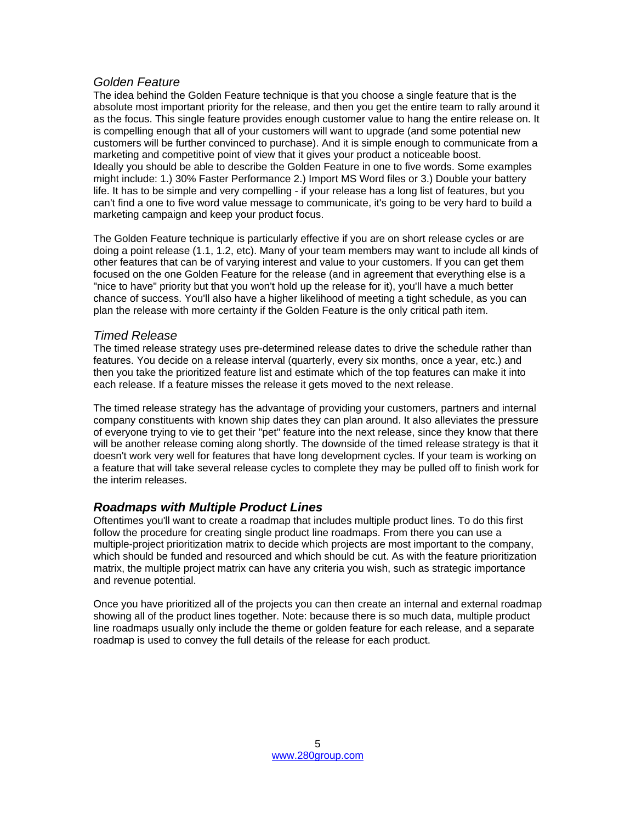#### *Golden Feature*

The idea behind the Golden Feature technique is that you choose a single feature that is the absolute most important priority for the release, and then you get the entire team to rally around it as the focus. This single feature provides enough customer value to hang the entire release on. It is compelling enough that all of your customers will want to upgrade (and some potential new customers will be further convinced to purchase). And it is simple enough to communicate from a marketing and competitive point of view that it gives your product a noticeable boost. Ideally you should be able to describe the Golden Feature in one to five words. Some examples might include: 1.) 30% Faster Performance 2.) Import MS Word files or 3.) Double your battery life. It has to be simple and very compelling - if your release has a long list of features, but you can't find a one to five word value message to communicate, it's going to be very hard to build a marketing campaign and keep your product focus.

The Golden Feature technique is particularly effective if you are on short release cycles or are doing a point release (1.1, 1.2, etc). Many of your team members may want to include all kinds of other features that can be of varying interest and value to your customers. If you can get them focused on the one Golden Feature for the release (and in agreement that everything else is a "nice to have" priority but that you won't hold up the release for it), you'll have a much better chance of success. You'll also have a higher likelihood of meeting a tight schedule, as you can plan the release with more certainty if the Golden Feature is the only critical path item.

#### *Timed Release*

The timed release strategy uses pre-determined release dates to drive the schedule rather than features. You decide on a release interval (quarterly, every six months, once a year, etc.) and then you take the prioritized feature list and estimate which of the top features can make it into each release. If a feature misses the release it gets moved to the next release.

The timed release strategy has the advantage of providing your customers, partners and internal company constituents with known ship dates they can plan around. It also alleviates the pressure of everyone trying to vie to get their "pet" feature into the next release, since they know that there will be another release coming along shortly. The downside of the timed release strategy is that it doesn't work very well for features that have long development cycles. If your team is working on a feature that will take several release cycles to complete they may be pulled off to finish work for the interim releases.

## *Roadmaps with Multiple Product Lines*

Oftentimes you'll want to create a roadmap that includes multiple product lines. To do this first follow the procedure for creating single product line roadmaps. From there you can use a multiple-project prioritization matrix to decide which projects are most important to the company, which should be funded and resourced and which should be cut. As with the feature prioritization matrix, the multiple project matrix can have any criteria you wish, such as strategic importance and revenue potential.

Once you have prioritized all of the projects you can then create an internal and external roadmap showing all of the product lines together. Note: because there is so much data, multiple product line roadmaps usually only include the theme or golden feature for each release, and a separate roadmap is used to convey the full details of the release for each product.